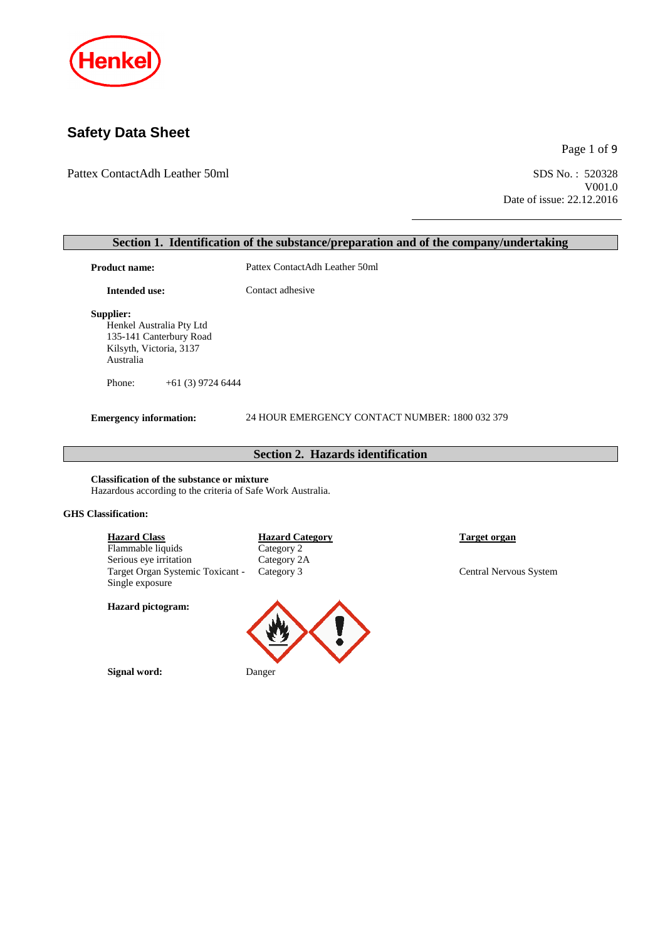

# **Safety Data Sheet**

Pattex ContactAdh Leather 50ml SDS No.: 520328

Page 1 of 9

V001.0 Date of issue: 22.12.2016

# **Section 1. Identification of the substance/preparation and of the company/undertaking** Product name: Pattex ContactAdh Leather 50ml **Intended use:** Contact adhesive **Supplier:** Henkel Australia Pty Ltd 135-141 Canterbury Road Kilsyth, Victoria, 3137 Australia

Phone: +61 (3) 9724 6444

**Emergency information:** 24 HOUR EMERGENCY CONTACT NUMBER: 1800 032 379

## **Section 2. Hazards identification**

**Classification of the substance or mixture** Hazardous according to the criteria of Safe Work Australia.

#### **GHS Classification:**

| <b>Hazard Class</b>                         | <b>Hazard Category</b> |  |
|---------------------------------------------|------------------------|--|
| Flammable liquids                           | Category 2             |  |
| Serious eye irritation                      | Category 2A            |  |
| Target Organ Systemic Toxicant - Category 3 |                        |  |
| Single exposure                             |                        |  |
| <b>Hazard</b> pictogram:                    |                        |  |



**Signal word:** Danger

**Harget organ** 

Central Nervous System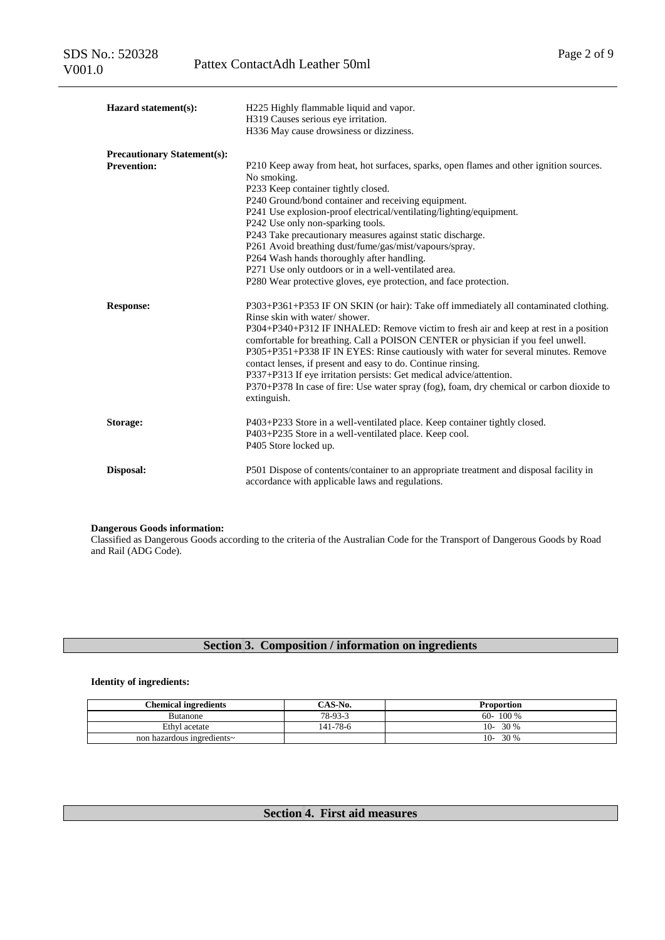| Hazard statement(s):                                     | H225 Highly flammable liquid and vapor.<br>H319 Causes serious eye irritation.<br>H336 May cause drowsiness or dizziness.                                                                                                                                                                                                                                                                                                                                                                                                                                                                                                                  |
|----------------------------------------------------------|--------------------------------------------------------------------------------------------------------------------------------------------------------------------------------------------------------------------------------------------------------------------------------------------------------------------------------------------------------------------------------------------------------------------------------------------------------------------------------------------------------------------------------------------------------------------------------------------------------------------------------------------|
| <b>Precautionary Statement(s):</b><br><b>Prevention:</b> | P210 Keep away from heat, hot surfaces, sparks, open flames and other ignition sources.<br>No smoking.<br>P233 Keep container tightly closed.<br>P240 Ground/bond container and receiving equipment.<br>P241 Use explosion-proof electrical/ventilating/lighting/equipment.<br>P242 Use only non-sparking tools.<br>P243 Take precautionary measures against static discharge.<br>P261 Avoid breathing dust/fume/gas/mist/vapours/spray.<br>P264 Wash hands thoroughly after handling.<br>P271 Use only outdoors or in a well-ventilated area.<br>P280 Wear protective gloves, eye protection, and face protection.                        |
| <b>Response:</b>                                         | P303+P361+P353 IF ON SKIN (or hair): Take off immediately all contaminated clothing.<br>Rinse skin with water/shower.<br>P304+P340+P312 IF INHALED: Remove victim to fresh air and keep at rest in a position<br>comfortable for breathing. Call a POISON CENTER or physician if you feel unwell.<br>P305+P351+P338 IF IN EYES: Rinse cautiously with water for several minutes. Remove<br>contact lenses, if present and easy to do. Continue rinsing.<br>P337+P313 If eye irritation persists: Get medical advice/attention.<br>P370+P378 In case of fire: Use water spray (fog), foam, dry chemical or carbon dioxide to<br>extinguish. |
| Storage:                                                 | P403+P233 Store in a well-ventilated place. Keep container tightly closed.<br>P403+P235 Store in a well-ventilated place. Keep cool.<br>P405 Store locked up.                                                                                                                                                                                                                                                                                                                                                                                                                                                                              |
| Disposal:                                                | P501 Dispose of contents/container to an appropriate treatment and disposal facility in<br>accordance with applicable laws and regulations.                                                                                                                                                                                                                                                                                                                                                                                                                                                                                                |

### **Dangerous Goods information:**

Classified as Dangerous Goods according to the criteria of the Australian Code for the Transport of Dangerous Goods by Road and Rail (ADG Code).

# **Section 3. Composition / information on ingredients**

### **Identity of ingredients:**

| <b>Chemical ingredients</b> | $\mathcal{C}$ AS-No. | Proportion    |
|-----------------------------|----------------------|---------------|
| Butanone                    | 78-93-3              | 100 %<br>60-  |
| Ethyl acetate               | 141-78-6             | 30 %<br>$10-$ |
| non hazardous ingredients~  |                      | 30 %<br>$10-$ |

## **Section 4. First aid measures**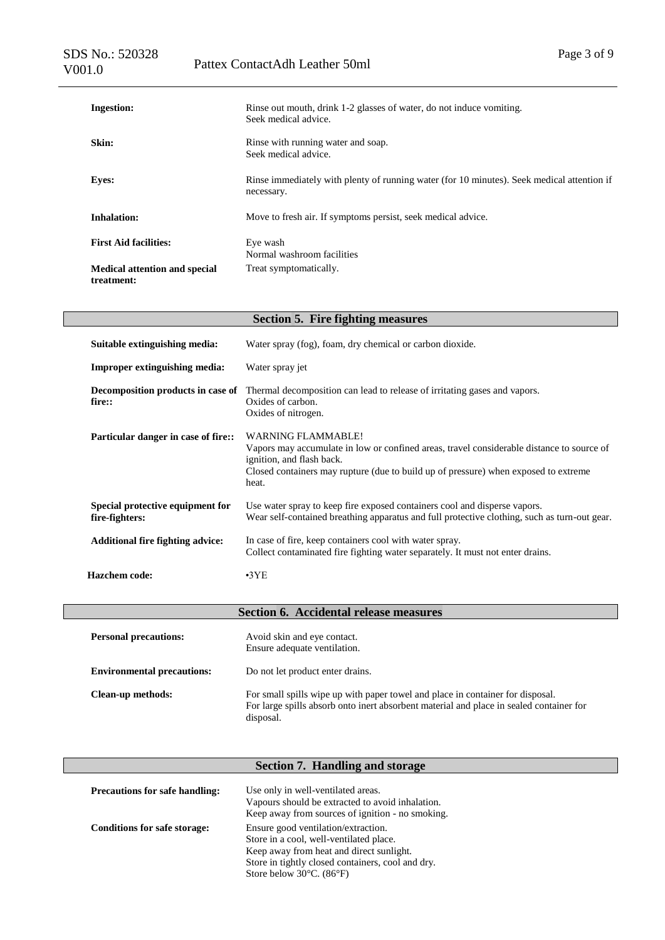| <b>Ingestion:</b>                                  | Rinse out mouth, drink 1-2 glasses of water, do not induce vomiting.<br>Seek medical advice.             |
|----------------------------------------------------|----------------------------------------------------------------------------------------------------------|
| Skin:                                              | Rinse with running water and soap.<br>Seek medical advice.                                               |
| <b>Eyes:</b>                                       | Rinse immediately with plenty of running water (for 10 minutes). Seek medical attention if<br>necessary. |
| <b>Inhalation:</b>                                 | Move to fresh air. If symptoms persist, seek medical advice.                                             |
| <b>First Aid facilities:</b>                       | Eye wash<br>Normal washroom facilities                                                                   |
| <b>Medical attention and special</b><br>treatment: | Treat symptomatically.                                                                                   |

| <b>Section 5. Fire fighting measures</b>           |                                                                                                                                                                                                                                                     |  |  |  |
|----------------------------------------------------|-----------------------------------------------------------------------------------------------------------------------------------------------------------------------------------------------------------------------------------------------------|--|--|--|
| Suitable extinguishing media:                      | Water spray (fog), foam, dry chemical or carbon dioxide.                                                                                                                                                                                            |  |  |  |
| <b>Improper extinguishing media:</b>               | Water spray jet                                                                                                                                                                                                                                     |  |  |  |
| Decomposition products in case of<br>fire::        | Thermal decomposition can lead to release of irritating gases and vapors.<br>Oxides of carbon.<br>Oxides of nitrogen.                                                                                                                               |  |  |  |
| Particular danger in case of fire::                | <b>WARNING FLAMMABLE!</b><br>Vapors may accumulate in low or confined areas, travel considerable distance to source of<br>ignition, and flash back.<br>Closed containers may rupture (due to build up of pressure) when exposed to extreme<br>heat. |  |  |  |
| Special protective equipment for<br>fire-fighters: | Use water spray to keep fire exposed containers cool and disperse vapors.<br>Wear self-contained breathing apparatus and full protective clothing, such as turn-out gear.                                                                           |  |  |  |
| <b>Additional fire fighting advice:</b>            | In case of fire, keep containers cool with water spray.<br>Collect contaminated fire fighting water separately. It must not enter drains.                                                                                                           |  |  |  |
| <b>Hazchem</b> code:                               | $-3YE$                                                                                                                                                                                                                                              |  |  |  |

|                                   | Section 6. Accidental release measures                                                                                                                                                 |
|-----------------------------------|----------------------------------------------------------------------------------------------------------------------------------------------------------------------------------------|
| <b>Personal precautions:</b>      | Avoid skin and eye contact.<br>Ensure adequate ventilation.                                                                                                                            |
| <b>Environmental precautions:</b> | Do not let product enter drains.                                                                                                                                                       |
| Clean-up methods:                 | For small spills wipe up with paper towel and place in container for disposal.<br>For large spills absorb onto inert absorbent material and place in sealed container for<br>disposal. |

# **Section 7. Handling and storage**

| <b>Precautions for safe handling:</b> | Use only in well-ventilated areas.                                                                   |
|---------------------------------------|------------------------------------------------------------------------------------------------------|
|                                       | Vapours should be extracted to avoid inhalation.<br>Keep away from sources of ignition - no smoking. |
| <b>Conditions for safe storage:</b>   | Ensure good ventilation/extraction.                                                                  |
|                                       | Store in a cool, well-ventilated place.                                                              |
|                                       | Keep away from heat and direct sunlight.                                                             |
|                                       | Store in tightly closed containers, cool and dry.                                                    |
|                                       | Store below $30^{\circ}$ C. (86 $^{\circ}$ F)                                                        |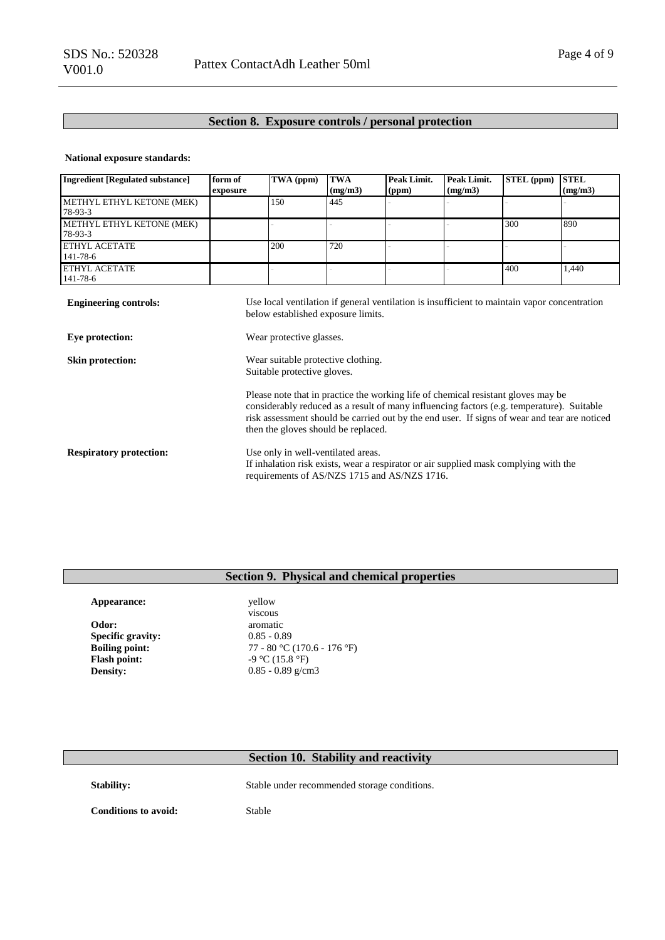## **Section 8. Exposure controls / personal protection**

### **National exposure standards:**

| <b>Ingredient [Regulated substance]</b>         | form of<br>exposure                                                                                                                                                                                                                                                                                                   | TWA (ppm) | <b>TWA</b><br>(mg/m3) | Peak Limit.<br>(ppm) | Peak Limit.<br>(mg/m3) | STEL (ppm) | <b>STEL</b><br>(mg/m3) |
|-------------------------------------------------|-----------------------------------------------------------------------------------------------------------------------------------------------------------------------------------------------------------------------------------------------------------------------------------------------------------------------|-----------|-----------------------|----------------------|------------------------|------------|------------------------|
| METHYL ETHYL KETONE (MEK)<br>78-93-3            |                                                                                                                                                                                                                                                                                                                       | 150       | 445                   |                      |                        |            |                        |
| METHYL ETHYL KETONE (MEK)<br>78-93-3            |                                                                                                                                                                                                                                                                                                                       |           |                       |                      |                        | 300        | 890                    |
| <b>ETHYL ACETATE</b><br>141-78-6                |                                                                                                                                                                                                                                                                                                                       | 200       | 720                   |                      |                        |            |                        |
| <b>ETHYL ACETATE</b><br>141-78-6                |                                                                                                                                                                                                                                                                                                                       |           |                       |                      |                        | 400        | 1,440                  |
| <b>Engineering controls:</b><br>Eye protection: | Use local ventilation if general ventilation is insufficient to maintain vapor concentration<br>below established exposure limits.<br>Wear protective glasses.                                                                                                                                                        |           |                       |                      |                        |            |                        |
| Skin protection:                                | Wear suitable protective clothing.<br>Suitable protective gloves.                                                                                                                                                                                                                                                     |           |                       |                      |                        |            |                        |
|                                                 | Please note that in practice the working life of chemical resistant gloves may be<br>considerably reduced as a result of many influencing factors (e.g. temperature). Suitable<br>risk assessment should be carried out by the end user. If signs of wear and tear are noticed<br>then the gloves should be replaced. |           |                       |                      |                        |            |                        |
| <b>Respiratory protection:</b>                  | Use only in well-ventilated areas.<br>If inhalation risk exists, wear a respirator or air supplied mask complying with the<br>requirements of AS/NZS 1715 and AS/NZS 1716.                                                                                                                                            |           |                       |                      |                        |            |                        |

## **Section 9. Physical and chemical properties**

| Appearance:              | yellow     |
|--------------------------|------------|
|                          | viscous    |
| Odor:                    | aromat:    |
| <b>Specific gravity:</b> | $0.85 - 0$ |
| <b>Boiling point:</b>    | $77 - 80$  |
| <b>Flash point:</b>      | $-9$ °C () |
| <b>Density:</b>          | $0.85 - 0$ |

viscous **Odor:** aromatic 0.85 - 0.89 **Boiling point:** 77 - 80 °C (170.6 - 176 °F) **Flash point:** -9 °C (15.8 °F) **b**  $\frac{1}{2}$  0.85 - 0.89 g/cm3

## **Section 10. Stability and reactivity**

Stability: Stable under recommended storage conditions.

**Conditions to avoid:** Stable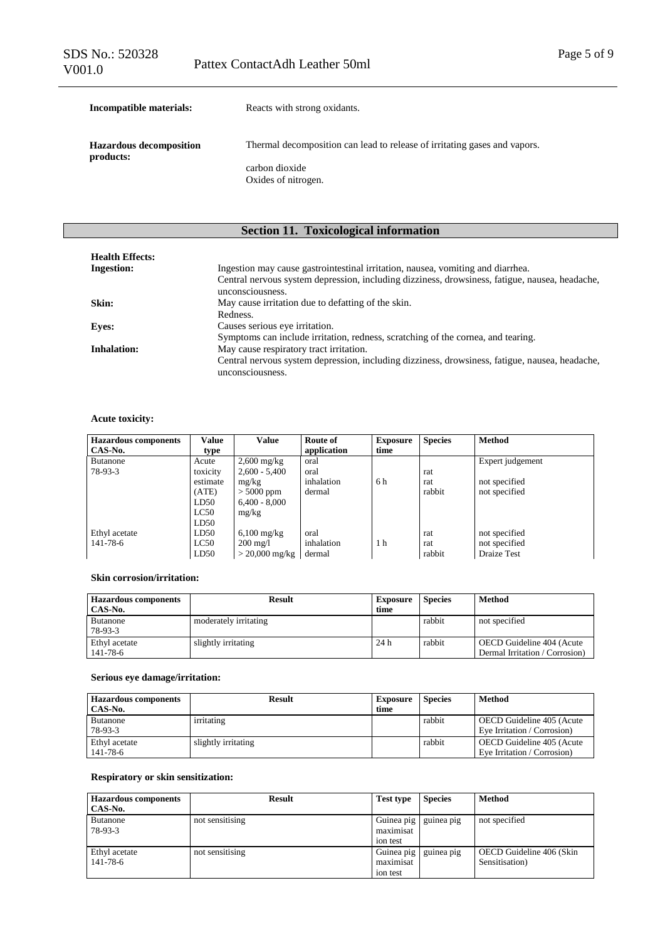| Incompatible materials:                     | Reacts with strong oxidants.                                              |  |  |  |
|---------------------------------------------|---------------------------------------------------------------------------|--|--|--|
| <b>Hazardous decomposition</b><br>products: | Thermal decomposition can lead to release of irritating gases and vapors. |  |  |  |
|                                             | carbon dioxide<br>Oxides of nitrogen.                                     |  |  |  |

# **Section 11. Toxicological information**

| <b>Health Effects:</b> |                                                                                                                    |
|------------------------|--------------------------------------------------------------------------------------------------------------------|
| <b>Ingestion:</b>      | Ingestion may cause gastrointestinal irritation, nausea, vomiting and diarrhea.                                    |
|                        | Central nervous system depression, including dizziness, drowsiness, fatigue, nausea, headache,<br>unconsciousness. |
| Skin:                  | May cause irritation due to defatting of the skin.                                                                 |
|                        | Redness.                                                                                                           |
| <b>Eyes:</b>           | Causes serious eye irritation.                                                                                     |
|                        | Symptoms can include irritation, redness, scratching of the cornea, and tearing.                                   |
| Inhalation:            | May cause respiratory tract irritation.                                                                            |
|                        | Central nervous system depression, including dizziness, drowsiness, fatigue, nausea, headache,<br>unconsciousness. |

## **Acute toxicity:**

| <b>Hazardous components</b> | <b>Value</b> | <b>Value</b>             | Route of    | <b>Exposure</b> | <b>Species</b> | <b>Method</b>    |
|-----------------------------|--------------|--------------------------|-------------|-----------------|----------------|------------------|
| CAS-No.                     | type         |                          | application | time            |                |                  |
| <b>Butanone</b>             | Acute        | $2,600$ mg/kg            | oral        |                 |                | Expert judgement |
| 78-93-3                     | toxicity     | $2,600 - 5,400$          | oral        |                 | rat            |                  |
|                             | estimate     | mg/kg                    | inhalation  | 6 h             | rat            | not specified    |
|                             | (ATE)        | $> 5000$ ppm             | dermal      |                 | rabbit         | not specified    |
|                             | LD50         | $6.400 - 8.000$          |             |                 |                |                  |
|                             | LC50         | mg/kg                    |             |                 |                |                  |
|                             | LD50         |                          |             |                 |                |                  |
| Ethyl acetate               | LD50         | $6,100 \text{ mg/kg}$    | oral        |                 | rat            | not specified    |
| 141-78-6                    | LC50         | $200 \text{ mg}/1$       | inhalation  | 1 <sub>h</sub>  | rat            | not specified    |
|                             | LD50         | $> 20,000 \text{ mg/kg}$ | dermal      |                 | rabbit         | Draize Test      |

#### **Skin corrosion/irritation:**

| <b>Hazardous components</b> | <b>Result</b>         | <b>Exposure</b> | <b>Species</b> | Method                         |
|-----------------------------|-----------------------|-----------------|----------------|--------------------------------|
| CAS-No.                     |                       | time            |                |                                |
| <b>Butanone</b>             | moderately irritating |                 | rabbit         | not specified                  |
| 78-93-3                     |                       |                 |                |                                |
| Ethyl acetate               | slightly irritating   | 24 h            | rabbit         | OECD Guideline 404 (Acute      |
| $141 - 78 - 6$              |                       |                 |                | Dermal Irritation / Corrosion) |

### **Serious eye damage/irritation:**

| <b>Hazardous components</b> | <b>Result</b>       | <b>Exposure</b> | <b>Species</b> | Method                      |
|-----------------------------|---------------------|-----------------|----------------|-----------------------------|
| CAS-No.                     |                     | time            |                |                             |
| <b>Butanone</b>             | irritating          |                 | rabbit         | OECD Guideline 405 (Acute   |
| 78-93-3                     |                     |                 |                | Eve Irritation / Corrosion) |
| Ethyl acetate               | slightly irritating |                 | rabbit         | OECD Guideline 405 (Acute)  |
| $141 - 78 - 6$              |                     |                 |                | Eve Irritation / Corrosion) |

## **Respiratory or skin sensitization:**

| <b>Hazardous components</b> | <b>Result</b>   | <b>Test type</b> | <b>Species</b> | <b>Method</b>            |
|-----------------------------|-----------------|------------------|----------------|--------------------------|
| CAS-No.                     |                 |                  |                |                          |
| <b>Butanone</b>             | not sensitising | Guinea pig       | guinea pig     | not specified            |
| 78-93-3                     |                 | maximisat        |                |                          |
|                             |                 | ion test         |                |                          |
| Ethyl acetate               | not sensitising | Guinea pig       | guinea pig     | OECD Guideline 406 (Skin |
| 141-78-6                    |                 | maximisat        |                | Sensitisation)           |
|                             |                 | ion test         |                |                          |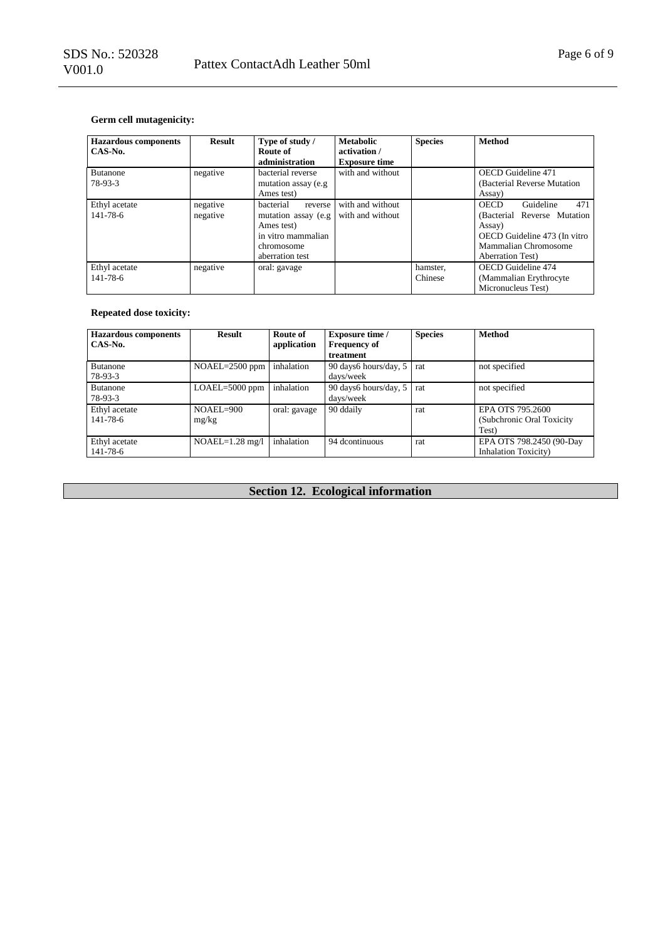| <b>Hazardous components</b><br>CAS-No. | Result               | Type of study /<br>Route of<br>administration                                                                     | <b>Metabolic</b><br>activation /<br><b>Exposure time</b> | <b>Species</b>      | <b>Method</b>                                                                                                                                                 |
|----------------------------------------|----------------------|-------------------------------------------------------------------------------------------------------------------|----------------------------------------------------------|---------------------|---------------------------------------------------------------------------------------------------------------------------------------------------------------|
| <b>Butanone</b><br>78-93-3             | negative             | bacterial reverse<br>mutation assay (e.g.<br>Ames test)                                                           | with and without                                         |                     | <b>OECD</b> Guideline 471<br>(Bacterial Reverse Mutation)<br>Assay)                                                                                           |
| Ethyl acetate<br>$141 - 78 - 6$        | negative<br>negative | bacterial<br>reverse<br>mutation assay (e.g.<br>Ames test)<br>in vitro mammalian<br>chromosome<br>aberration test | with and without<br>with and without                     |                     | Guideline<br>471<br><b>OECD</b><br>(Bacterial Reverse Mutation)<br>Assay)<br>OECD Guideline 473 (In vitro<br>Mammalian Chromosome<br><b>Aberration Test</b> ) |
| Ethyl acetate<br>141-78-6              | negative             | oral: gavage                                                                                                      |                                                          | hamster,<br>Chinese | <b>OECD</b> Guideline 474<br>(Mammalian Erythrocyte)<br>Micronucleus Test)                                                                                    |

## **Repeated dose toxicity:**

| <b>Hazardous components</b> | <b>Result</b>     | Route of     | <b>Exposure time /</b> | <b>Species</b> | <b>Method</b>                |
|-----------------------------|-------------------|--------------|------------------------|----------------|------------------------------|
| CAS-No.                     |                   | application  | <b>Frequency of</b>    |                |                              |
|                             |                   |              | treatment              |                |                              |
| <b>Butanone</b>             | NOAEL=2500 ppm    | inhalation   | 90 days6 hours/day, 5  | rat            | not specified                |
| 78-93-3                     |                   |              | davs/week              |                |                              |
| <b>Butanone</b>             | LOAEL=5000 ppm    | inhalation   | 90 days 6 hours/day, 5 | rat            | not specified                |
| 78-93-3                     |                   |              | days/week              |                |                              |
| Ethyl acetate               | $NOAEL=900$       | oral: gavage | 90 ddaily              | rat            | EPA OTS 795.2600             |
| 141-78-6                    | mg/kg             |              |                        |                | (Subchronic Oral Toxicity)   |
|                             |                   |              |                        |                | Test)                        |
| Ethyl acetate               | $NOAEL=1.28$ mg/l | inhalation   | 94 dcontinuous         | rat            | EPA OTS 798.2450 (90-Day     |
| 141-78-6                    |                   |              |                        |                | <b>Inhalation Toxicity</b> ) |

# **Section 12. Ecological information**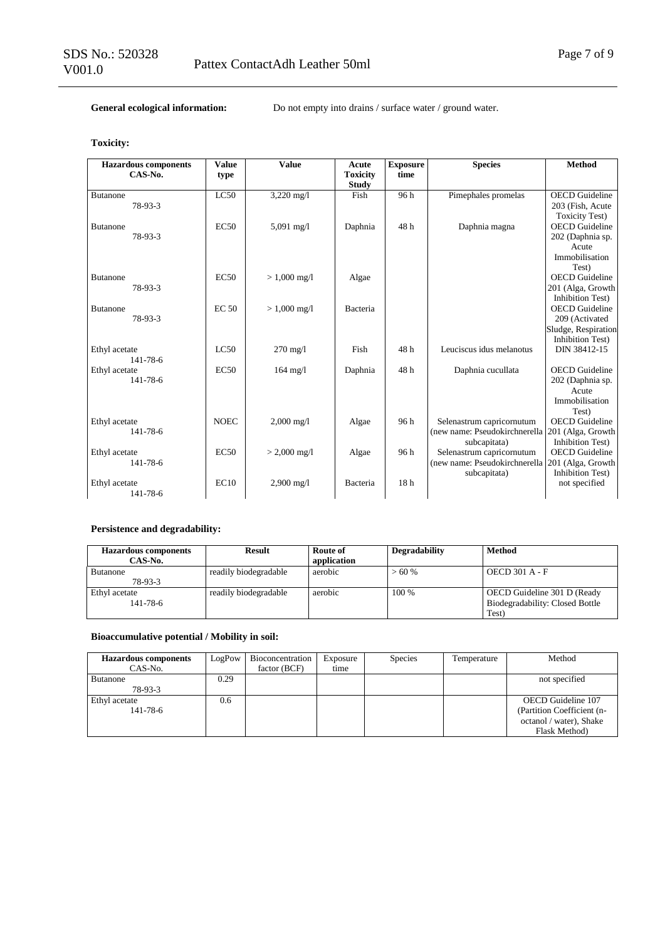General ecological information: Do not empty into drains / surface water / ground water.

**Toxicity:**

| <b>Hazardous components</b><br>$CAS-N0$ . | <b>Value</b><br>type | <b>Value</b>         | Acute<br><b>Toxicity</b> | <b>Exposure</b><br>time | <b>Species</b>                | <b>Method</b>           |
|-------------------------------------------|----------------------|----------------------|--------------------------|-------------------------|-------------------------------|-------------------------|
| <b>Butanone</b>                           | LC50                 | 3,220 mg/l           | <b>Study</b><br>Fish     | 96h                     | Pimephales promelas           | <b>OECD</b> Guideline   |
| 78-93-3                                   |                      |                      |                          |                         |                               | 203 (Fish, Acute        |
|                                           |                      |                      |                          |                         |                               | <b>Toxicity Test)</b>   |
| <b>Butanone</b>                           | EC50                 | $5,091$ mg/l         | Daphnia                  | 48h                     | Daphnia magna                 | <b>OECD</b> Guideline   |
| 78-93-3                                   |                      |                      |                          |                         |                               | 202 (Daphnia sp.        |
|                                           |                      |                      |                          |                         |                               | Acute                   |
|                                           |                      |                      |                          |                         |                               | Immobilisation          |
|                                           |                      |                      |                          |                         |                               | Test)                   |
| <b>Butanone</b>                           | EC50                 | $> 1,000$ mg/l       | Algae                    |                         |                               | <b>OECD</b> Guideline   |
| 78-93-3                                   |                      |                      |                          |                         |                               | 201 (Alga, Growth       |
|                                           |                      |                      |                          |                         |                               | <b>Inhibition Test)</b> |
| <b>Butanone</b>                           | <b>EC 50</b>         | $> 1,000$ mg/l       | Bacteria                 |                         |                               | <b>OECD</b> Guideline   |
| 78-93-3                                   |                      |                      |                          |                         |                               | 209 (Activated          |
|                                           |                      |                      |                          |                         |                               | Sludge, Respiration     |
|                                           |                      |                      |                          |                         |                               | <b>Inhibition Test)</b> |
| Ethyl acetate                             | LC50                 | $270 \text{ mg}/1$   | Fish                     | 48h                     | Leuciscus idus melanotus      | DIN 38412-15            |
| 141-78-6                                  |                      |                      |                          |                         |                               |                         |
| Ethyl acetate                             | EC50                 | $164 \text{ mg}/1$   | Daphnia                  | 48h                     | Daphnia cucullata             | <b>OECD</b> Guideline   |
| $141 - 78 - 6$                            |                      |                      |                          |                         |                               | 202 (Daphnia sp.        |
|                                           |                      |                      |                          |                         |                               | Acute                   |
|                                           |                      |                      |                          |                         |                               | Immobilisation          |
|                                           |                      |                      |                          |                         |                               | Test)                   |
| Ethyl acetate                             | <b>NOEC</b>          | $2,000 \text{ mg/l}$ | Algae                    | 96h                     | Selenastrum capricornutum     | <b>OECD</b> Guideline   |
| 141-78-6                                  |                      |                      |                          |                         | (new name: Pseudokirchnerella | 201 (Alga, Growth       |
|                                           |                      |                      |                          |                         | subcapitata)                  | <b>Inhibition Test)</b> |
| Ethyl acetate                             | EC <sub>50</sub>     | $> 2,000$ mg/l       | Algae                    | 96 h                    | Selenastrum capricornutum     | <b>OECD</b> Guideline   |
| 141-78-6                                  |                      |                      |                          |                         | (new name: Pseudokirchnerella | 201 (Alga, Growth       |
|                                           |                      |                      |                          |                         | subcapitata)                  | <b>Inhibition Test)</b> |
| Ethyl acetate                             | EC10                 | $2,900$ mg/l         | Bacteria                 | 18 <sub>h</sub>         |                               | not specified           |
| 141-78-6                                  |                      |                      |                          |                         |                               |                         |

## **Persistence and degradability:**

| <b>Hazardous components</b><br>CAS-No. | Result                | Route of<br>application | Degradability | <b>Method</b>                                                           |
|----------------------------------------|-----------------------|-------------------------|---------------|-------------------------------------------------------------------------|
| <b>Butanone</b><br>78-93-3             | readily biodegradable | aerobic                 | $>60\%$       | <b>OECD 301 A - F</b>                                                   |
| Ethyl acetate<br>$141 - 78 - 6$        | readily biodegradable | aerobic                 | $100\%$       | OECD Guideline 301 D (Ready<br>Biodegradability: Closed Bottle<br>Test) |

## **Bioaccumulative potential / Mobility in soil:**

| <b>Hazardous components</b> | LogPow | Bioconcentration | Exposure | <b>Species</b> | Temperature | Method                     |
|-----------------------------|--------|------------------|----------|----------------|-------------|----------------------------|
| CAS-No.                     |        | factor (BCF)     | time     |                |             |                            |
| <b>Butanone</b>             | 0.29   |                  |          |                |             | not specified              |
| 78-93-3                     |        |                  |          |                |             |                            |
| Ethyl acetate               | 0.6    |                  |          |                |             | OECD Guideline 107         |
| 141-78-6                    |        |                  |          |                |             | (Partition Coefficient (n- |
|                             |        |                  |          |                |             | octanol / water), Shake    |
|                             |        |                  |          |                |             | Flask Method)              |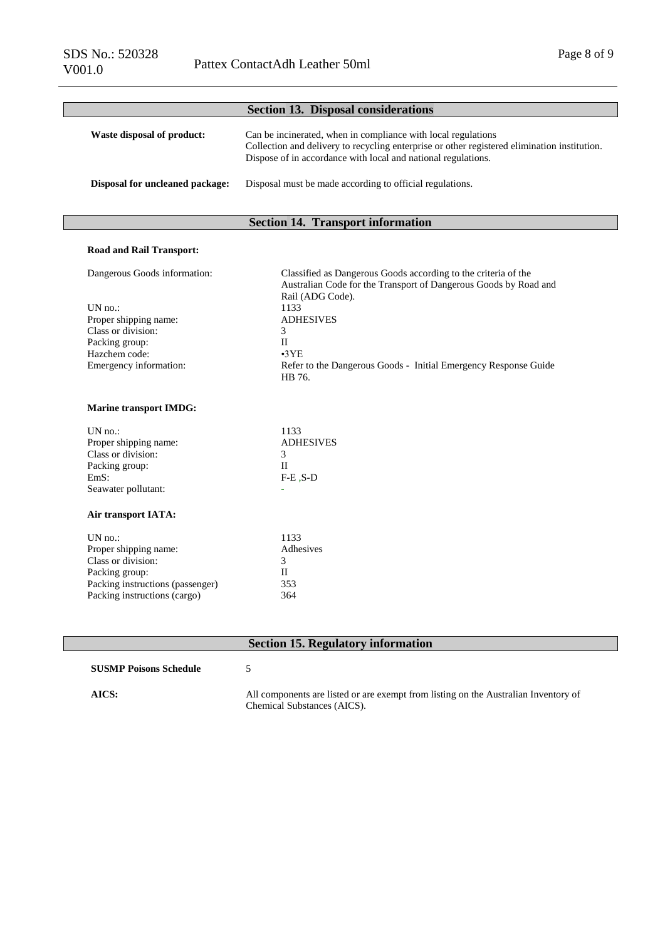|                                        | <b>Section 13. Disposal considerations</b>                                                                                                                                                                                     |
|----------------------------------------|--------------------------------------------------------------------------------------------------------------------------------------------------------------------------------------------------------------------------------|
| Waste disposal of product:             | Can be incinerated, when in compliance with local regulations<br>Collection and delivery to recycling enterprise or other registered elimination institution.<br>Dispose of in accordance with local and national regulations. |
| <b>Disposal for uncleaned package:</b> | Disposal must be made according to official regulations.                                                                                                                                                                       |

# **Section 14. Transport information**

### **Road and Rail Transport:**

| Dangerous Goods information: | Classified as Dangerous Goods according to the criteria of the   |
|------------------------------|------------------------------------------------------------------|
|                              | Australian Code for the Transport of Dangerous Goods by Road and |
|                              | Rail (ADG Code).                                                 |
| UN $no$ :                    | 1133                                                             |
| Proper shipping name:        | <b>ADHESIVES</b>                                                 |
| Class or division:           |                                                                  |
| Packing group:               | Н                                                                |
| Hazchem code:                | $\cdot$ 3YE                                                      |
| Emergency information:       | Refer to the Dangerous Goods - Initial Emergency Response Guide  |
|                              | HB 76.                                                           |

### **Marine transport IMDG:**

| $UN$ no.:                        | 1133             |
|----------------------------------|------------------|
| Proper shipping name:            | <b>ADHESIVES</b> |
| Class or division:               | 3                |
| Packing group:                   | Н                |
| EmS:                             | $F-E$ , $S-D$    |
| Seawater pollutant:              |                  |
| Air transport IATA:              |                  |
| UN no.                           | 1133             |
| Proper shipping name:            | Adhesives        |
| Class or division:               | 3                |
| Packing group:                   | Н                |
| Packing instructions (passenger) | 353              |
| Packing instructions (cargo)     | 364              |
|                                  |                  |

## **Section 15. Regulatory information**

## **SUSMP Poisons Schedule** 5

**AICS:** All components are listed or are exempt from listing on the Australian Inventory of Chemical Substances (AICS).